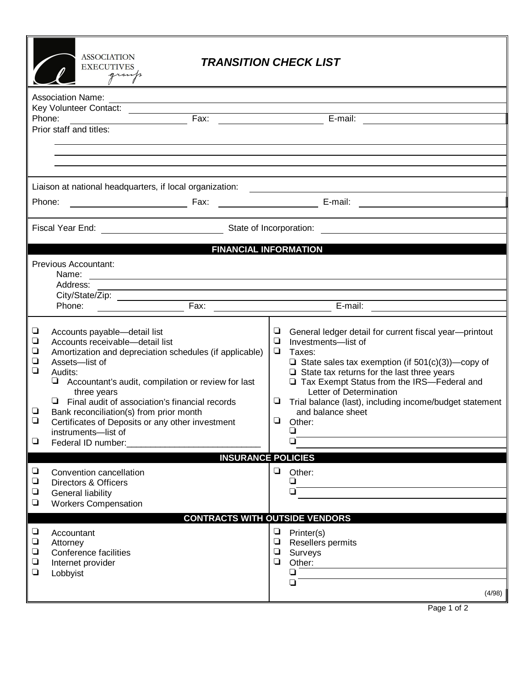|                                                                                                                                                           | <b>ASSOCIATION</b><br><b>EXECUTIVES</b>                                                                                                                                                                                                                                                                                                                                                                                                  | <b>TRANSITION CHECK LIST</b>                                                                                                                                                                                                                                                                                                                                                                                    |  |  |  |  |
|-----------------------------------------------------------------------------------------------------------------------------------------------------------|------------------------------------------------------------------------------------------------------------------------------------------------------------------------------------------------------------------------------------------------------------------------------------------------------------------------------------------------------------------------------------------------------------------------------------------|-----------------------------------------------------------------------------------------------------------------------------------------------------------------------------------------------------------------------------------------------------------------------------------------------------------------------------------------------------------------------------------------------------------------|--|--|--|--|
|                                                                                                                                                           | <b>Association Name:</b><br>Key Volunteer Contact:<br>Fax:<br>Phone:<br>Prior staff and titles:<br>Liaison at national headquarters, if local organization:                                                                                                                                                                                                                                                                              | E-mail:<br><u> 1989 - Andrea Stadt Britain, amerikansk politiker (</u>                                                                                                                                                                                                                                                                                                                                          |  |  |  |  |
|                                                                                                                                                           | Phone:<br><u> 1980 - Andrea Britain, politik eta politik eta politik eta politik eta politik eta politik eta politik eta p</u>                                                                                                                                                                                                                                                                                                           | E-mail:<br><u> 1989 - Johann Harry Barn, mars ar breist fan de Fryske kommunent (</u>                                                                                                                                                                                                                                                                                                                           |  |  |  |  |
|                                                                                                                                                           | Fiscal Year End: Network and State of Incorporation: Network and State of Incorporation:                                                                                                                                                                                                                                                                                                                                                 |                                                                                                                                                                                                                                                                                                                                                                                                                 |  |  |  |  |
| <b>FINANCIAL INFORMATION</b><br>Previous Accountant:<br>Name:<br><u> 1989 - Johann Barn, amerikansk politiker (d. 1989)</u><br>Address:<br>Fax:<br>Phone: |                                                                                                                                                                                                                                                                                                                                                                                                                                          |                                                                                                                                                                                                                                                                                                                                                                                                                 |  |  |  |  |
| ❏<br>❏<br>❏<br>$\Box$<br>❏<br>❏<br>❏                                                                                                                      | Accounts payable-detail list<br>Accounts receivable-detail list<br>Amortization and depreciation schedules (if applicable)<br>Assets-list of<br>Audits:<br>$\Box$ Accountant's audit, compilation or review for last<br>three years<br>$\Box$ Final audit of association's financial records<br>Bank reconciliation(s) from prior month<br>Certificates of Deposits or any other investment<br>instruments-list of<br>Federal ID number: | ⊔<br>General ledger detail for current fiscal year-printout<br>⊔<br>Investments-list of<br>⊔<br>Taxes:<br>$\Box$ State sales tax exemption (if 501(c)(3))—copy of<br>$\Box$ State tax returns for the last three years<br>Tax Exempt Status from the IRS-Federal and<br>Letter of Determination<br>$\Box$ Trial balance (last), including income/budget statement<br>and balance sheet<br>Other:<br>❏<br>$\Box$ |  |  |  |  |
| ❏<br>❏<br>❏<br>❏                                                                                                                                          | <b>INSURANCE POLICIES</b><br>Convention cancellation<br>Directors & Officers<br>General liability<br><b>Workers Compensation</b>                                                                                                                                                                                                                                                                                                         | Other:<br>⊔.<br>❏<br>❏                                                                                                                                                                                                                                                                                                                                                                                          |  |  |  |  |
| ❏<br>$\Box$<br>❏<br>$\Box$<br>❏                                                                                                                           | Accountant<br>Attorney<br>Conference facilities<br>Internet provider<br>Lobbyist                                                                                                                                                                                                                                                                                                                                                         | <b>CONTRACTS WITH OUTSIDE VENDORS</b><br>$\Box$<br>Printer(s)<br>$\Box$ Resellers permits<br>$\Box$<br>Surveys<br>$\Box$<br>Other:<br>$\Box$<br>$\Box$<br>(4/98)                                                                                                                                                                                                                                                |  |  |  |  |